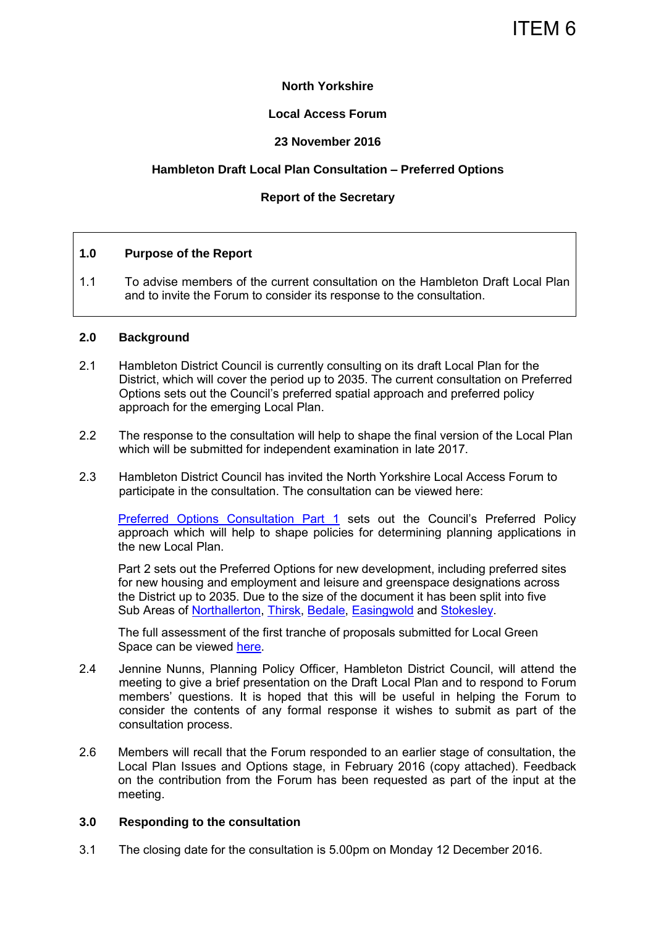## ITEM 6

#### **North Yorkshire**

#### **Local Access Forum**

#### **23 November 2016**

## **Hambleton Draft Local Plan Consultation – Preferred Options**

## **Report of the Secretary**

#### **1.0 Purpose of the Report**

1.1 To advise members of the current consultation on the Hambleton Draft Local Plan and to invite the Forum to consider its response to the consultation.

#### **2.0 Background**

- 2.1 Hambleton District Council is currently consulting on its draft Local Plan for the District, which will cover the period up to 2035. The current consultation on Preferred Options sets out the Council's preferred spatial approach and preferred policy approach for the emerging Local Plan.
- 2.2 The response to the consultation will help to shape the final version of the Local Plan which will be submitted for independent examination in late 2017.
- 2.3 Hambleton District Council has invited the North Yorkshire Local Access Forum to participate in the consultation. The consultation can be viewed here:

[Preferred Options Consultation Part 1](http://hambleton.objective.co.uk/portal/planning/po_part1) sets out the Council's Preferred Policy approach which will help to shape policies for determining planning applications in the new Local Plan.

Part 2 sets out the Preferred Options for new development, including preferred sites for new housing and employment and leisure and greenspace designations across the District up to 2035. Due to the size of the document it has been split into five Sub Areas of [Northallerton,](http://hambleton.objective.co.uk/portal/planning/po_part_2_northallerton) [Thirsk,](http://hambleton.objective.co.uk/portal/planning/po_part2_thirsk) [Bedale,](http://hambleton.objective.co.uk/portal/planning/po_part2_bedale) [Easingwold](http://hambleton.objective.co.uk/portal/planning/po_part2_easingwold) and [Stokesley.](http://hambleton.objective.co.uk/portal/planning/po_part2_stokesley)

The full assessment of the first tranche of proposals submitted for Local Green Space can be viewed [here.](http://hambleton.objective.co.uk/file/4217020)

- 2.4 Jennine Nunns, Planning Policy Officer, Hambleton District Council, will attend the meeting to give a brief presentation on the Draft Local Plan and to respond to Forum members' questions. It is hoped that this will be useful in helping the Forum to consider the contents of any formal response it wishes to submit as part of the consultation process.
- 2.6 Members will recall that the Forum responded to an earlier stage of consultation, the Local Plan Issues and Options stage, in February 2016 (copy attached). Feedback on the contribution from the Forum has been requested as part of the input at the meeting.

#### **3.0 Responding to the consultation**

3.1 The closing date for the consultation is 5.00pm on Monday 12 December 2016.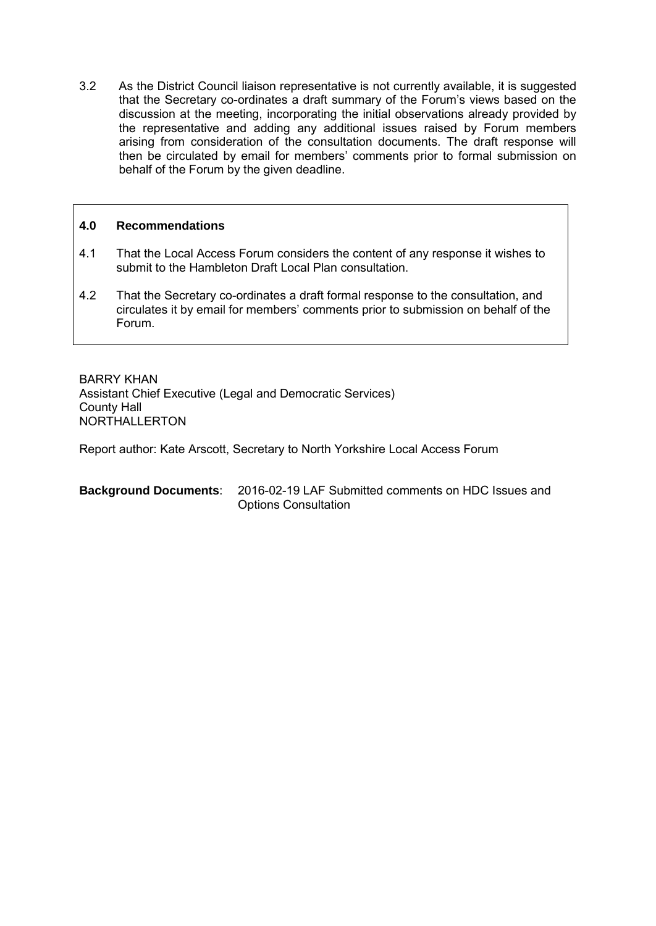3.2 As the District Council liaison representative is not currently available, it is suggested that the Secretary co-ordinates a draft summary of the Forum's views based on the discussion at the meeting, incorporating the initial observations already provided by the representative and adding any additional issues raised by Forum members arising from consideration of the consultation documents. The draft response will then be circulated by email for members' comments prior to formal submission on behalf of the Forum by the given deadline.

## **4.0 Recommendations**

- 4.1 That the Local Access Forum considers the content of any response it wishes to submit to the Hambleton Draft Local Plan consultation.
- 4.2 That the Secretary co-ordinates a draft formal response to the consultation, and circulates it by email for members' comments prior to submission on behalf of the Forum.

BARRY KHAN Assistant Chief Executive (Legal and Democratic Services) County Hall NORTHALLERTON

Report author: Kate Arscott, Secretary to North Yorkshire Local Access Forum

| <b>Background Documents:</b> 2016-02-19 LAF Submitted comments on HDC Issues and |
|----------------------------------------------------------------------------------|
| <b>Options Consultation</b>                                                      |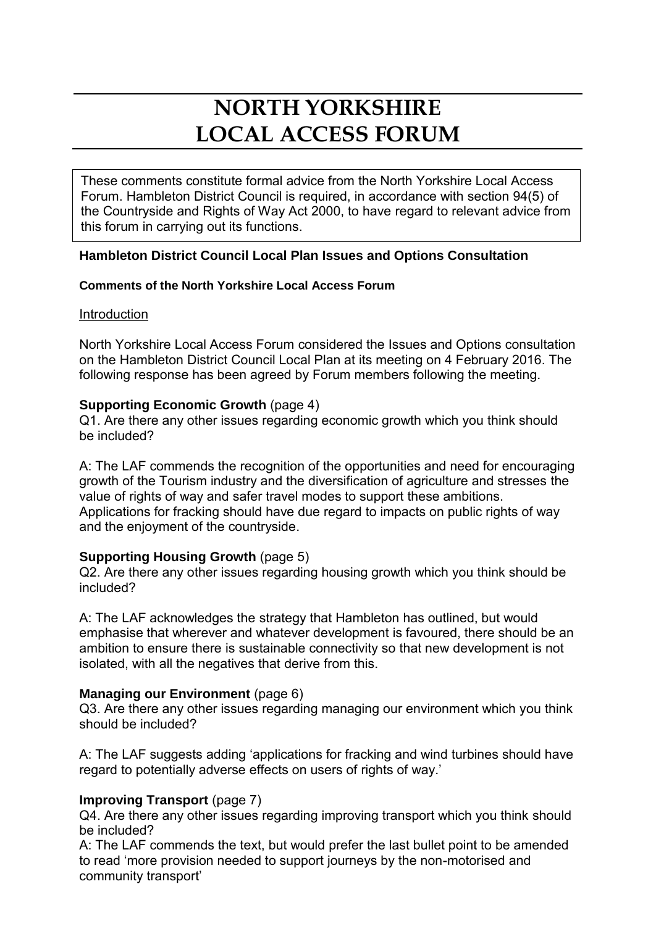# **NORTH YORKSHIRE LOCAL ACCESS FORUM**

These comments constitute formal advice from the North Yorkshire Local Access Forum. Hambleton District Council is required, in accordance with section 94(5) of the Countryside and Rights of Way Act 2000, to have regard to relevant advice from this forum in carrying out its functions.

## **Hambleton District Council Local Plan Issues and Options Consultation**

## **Comments of the North Yorkshire Local Access Forum**

## **Introduction**

North Yorkshire Local Access Forum considered the Issues and Options consultation on the Hambleton District Council Local Plan at its meeting on 4 February 2016. The following response has been agreed by Forum members following the meeting.

## **Supporting Economic Growth** (page 4)

Q1. Are there any other issues regarding economic growth which you think should be included?

A: The LAF commends the recognition of the opportunities and need for encouraging growth of the Tourism industry and the diversification of agriculture and stresses the value of rights of way and safer travel modes to support these ambitions. Applications for fracking should have due regard to impacts on public rights of way and the enjoyment of the countryside.

## **Supporting Housing Growth** (page 5)

Q2. Are there any other issues regarding housing growth which you think should be included?

A: The LAF acknowledges the strategy that Hambleton has outlined, but would emphasise that wherever and whatever development is favoured, there should be an ambition to ensure there is sustainable connectivity so that new development is not isolated, with all the negatives that derive from this.

## **Managing our Environment** (page 6)

Q3. Are there any other issues regarding managing our environment which you think should be included?

A: The LAF suggests adding 'applications for fracking and wind turbines should have regard to potentially adverse effects on users of rights of way.'

## **Improving Transport** (page 7)

Q4. Are there any other issues regarding improving transport which you think should be included?

A: The LAF commends the text, but would prefer the last bullet point to be amended to read 'more provision needed to support journeys by the non-motorised and community transport'